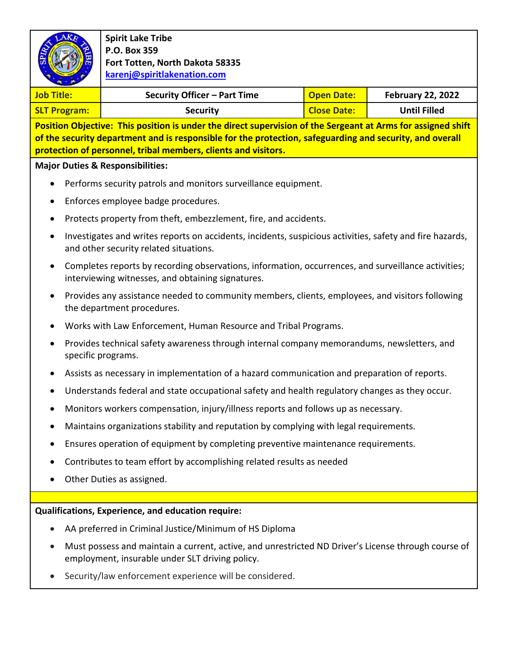| AKE                                                                                                                                                                                                                                                                                        | <b>Spirit Lake Tribe</b><br>P.O. Box 359<br>Fort Totten, North Dakota 58335<br>karenj@spiritlakenation.com                                               |                    |                          |  |  |
|--------------------------------------------------------------------------------------------------------------------------------------------------------------------------------------------------------------------------------------------------------------------------------------------|----------------------------------------------------------------------------------------------------------------------------------------------------------|--------------------|--------------------------|--|--|
| <b>Job Title:</b>                                                                                                                                                                                                                                                                          | Security Officer - Part Time                                                                                                                             | <b>Open Date:</b>  | <b>February 22, 2022</b> |  |  |
| <b>SLT Program:</b>                                                                                                                                                                                                                                                                        | <b>Security</b>                                                                                                                                          | <b>Close Date:</b> | <b>Until Filled</b>      |  |  |
| Position Objective: This position is under the direct supervision of the Sergeant at Arms for assigned shift<br>of the security department and is responsible for the protection, safeguarding and security, and overall<br>protection of personnel, tribal members, clients and visitors. |                                                                                                                                                          |                    |                          |  |  |
|                                                                                                                                                                                                                                                                                            | <b>Major Duties &amp; Responsibilities:</b>                                                                                                              |                    |                          |  |  |
|                                                                                                                                                                                                                                                                                            | Performs security patrols and monitors surveillance equipment.                                                                                           |                    |                          |  |  |
|                                                                                                                                                                                                                                                                                            | Enforces employee badge procedures.                                                                                                                      |                    |                          |  |  |
|                                                                                                                                                                                                                                                                                            | Protects property from theft, embezzlement, fire, and accidents.                                                                                         |                    |                          |  |  |
| ٠                                                                                                                                                                                                                                                                                          | Investigates and writes reports on accidents, incidents, suspicious activities, safety and fire hazards,<br>and other security related situations.       |                    |                          |  |  |
|                                                                                                                                                                                                                                                                                            | Completes reports by recording observations, information, occurrences, and surveillance activities;<br>interviewing witnesses, and obtaining signatures. |                    |                          |  |  |
|                                                                                                                                                                                                                                                                                            | Provides any assistance needed to community members, clients, employees, and visitors following<br>the department procedures.                            |                    |                          |  |  |
|                                                                                                                                                                                                                                                                                            | Works with Law Enforcement, Human Resource and Tribal Programs.                                                                                          |                    |                          |  |  |
|                                                                                                                                                                                                                                                                                            | Provides technical safety awareness through internal company memorandums, newsletters, and<br>specific programs.                                         |                    |                          |  |  |
|                                                                                                                                                                                                                                                                                            | Assists as necessary in implementation of a hazard communication and preparation of reports.                                                             |                    |                          |  |  |
|                                                                                                                                                                                                                                                                                            | Understands federal and state occupational safety and health regulatory changes as they occur.                                                           |                    |                          |  |  |
|                                                                                                                                                                                                                                                                                            | Monitors workers compensation, injury/illness reports and follows up as necessary.                                                                       |                    |                          |  |  |
|                                                                                                                                                                                                                                                                                            | Maintains organizations stability and reputation by complying with legal requirements.                                                                   |                    |                          |  |  |
|                                                                                                                                                                                                                                                                                            | Ensures operation of equipment by completing preventive maintenance requirements.                                                                        |                    |                          |  |  |
|                                                                                                                                                                                                                                                                                            | Contributes to team effort by accomplishing related results as needed                                                                                    |                    |                          |  |  |
|                                                                                                                                                                                                                                                                                            | Other Duties as assigned.                                                                                                                                |                    |                          |  |  |
|                                                                                                                                                                                                                                                                                            |                                                                                                                                                          |                    |                          |  |  |
|                                                                                                                                                                                                                                                                                            | Qualifications, Experience, and education require:                                                                                                       |                    |                          |  |  |
|                                                                                                                                                                                                                                                                                            | AA preferred in Criminal Justice/Minimum of HS Diploma                                                                                                   |                    |                          |  |  |
|                                                                                                                                                                                                                                                                                            | Must possess and maintain a current, active, and unrestricted ND Driver's License through course of<br>employment, insurable under SLT driving policy.   |                    |                          |  |  |
|                                                                                                                                                                                                                                                                                            | Security/law enforcement experience will be considered.                                                                                                  |                    |                          |  |  |